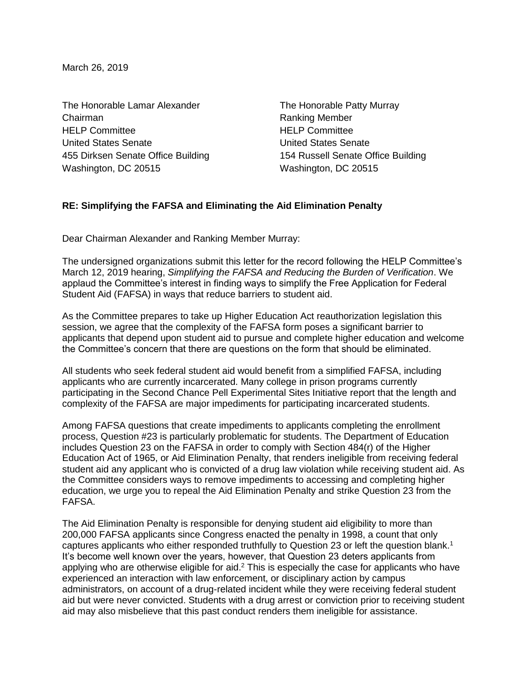March 26, 2019

The Honorable Lamar Alexander The Honorable Patty Murray Chairman **Chairman** Ranking Member HELP Committee HELP Committee United States Senate United States Senate 455 Dirksen Senate Office Building 154 Russell Senate Office Building Washington, DC 20515 Washington, DC 20515

## **RE: Simplifying the FAFSA and Eliminating the Aid Elimination Penalty**

Dear Chairman Alexander and Ranking Member Murray:

The undersigned organizations submit this letter for the record following the HELP Committee's March 12, 2019 hearing, *Simplifying the FAFSA and Reducing the Burden of Verification*. We applaud the Committee's interest in finding ways to simplify the Free Application for Federal Student Aid (FAFSA) in ways that reduce barriers to student aid.

As the Committee prepares to take up Higher Education Act reauthorization legislation this session, we agree that the complexity of the FAFSA form poses a significant barrier to applicants that depend upon student aid to pursue and complete higher education and welcome the Committee's concern that there are questions on the form that should be eliminated.

All students who seek federal student aid would benefit from a simplified FAFSA, including applicants who are currently incarcerated. Many college in prison programs currently participating in the Second Chance Pell Experimental Sites Initiative report that the length and complexity of the FAFSA are major impediments for participating incarcerated students.

Among FAFSA questions that create impediments to applicants completing the enrollment process, Question #23 is particularly problematic for students. The Department of Education includes Question 23 on the FAFSA in order to comply with Section 484(r) of the Higher Education Act of 1965, or Aid Elimination Penalty, that renders ineligible from receiving federal student aid any applicant who is convicted of a drug law violation while receiving student aid. As the Committee considers ways to remove impediments to accessing and completing higher education, we urge you to repeal the Aid Elimination Penalty and strike Question 23 from the FAFSA.

The Aid Elimination Penalty is responsible for denying student aid eligibility to more than 200,000 FAFSA applicants since Congress enacted the penalty in 1998, a count that only captures applicants who either responded truthfully to Question 23 or left the question blank.<sup>1</sup> It's become well known over the years, however, that Question 23 deters applicants from applying who are otherwise eligible for aid. $2$  This is especially the case for applicants who have experienced an interaction with law enforcement, or disciplinary action by campus administrators, on account of a drug-related incident while they were receiving federal student aid but were never convicted. Students with a drug arrest or conviction prior to receiving student aid may also misbelieve that this past conduct renders them ineligible for assistance.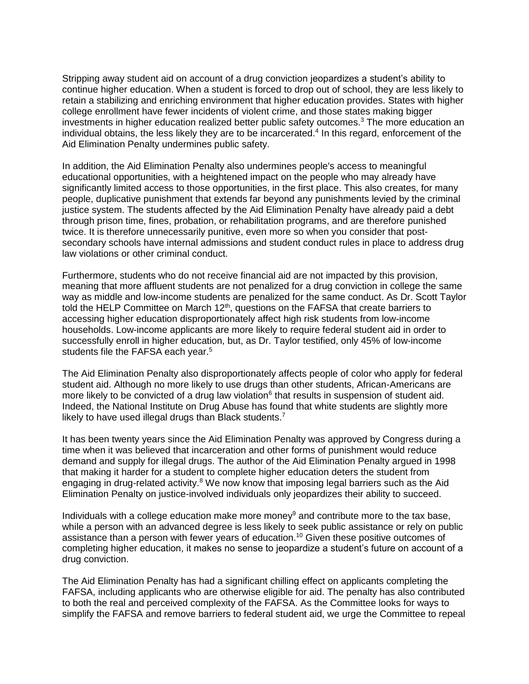Stripping away student aid on account of a drug conviction jeopardizes a student's ability to continue higher education. When a student is forced to drop out of school, they are less likely to retain a stabilizing and enriching environment that higher education provides. States with higher college enrollment have fewer incidents of violent crime, and those states making bigger investments in higher education realized better public safety outcomes.<sup>3</sup> The more education an individual obtains, the less likely they are to be incarcerated.<sup>4</sup> In this regard, enforcement of the Aid Elimination Penalty undermines public safety.

In addition, the Aid Elimination Penalty also undermines people's access to meaningful educational opportunities, with a heightened impact on the people who may already have significantly limited access to those opportunities, in the first place. This also creates, for many people, duplicative punishment that extends far beyond any punishments levied by the criminal justice system. The students affected by the Aid Elimination Penalty have already paid a debt through prison time, fines, probation, or rehabilitation programs, and are therefore punished twice. It is therefore unnecessarily punitive, even more so when you consider that postsecondary schools have internal admissions and student conduct rules in place to address drug law violations or other criminal conduct.

Furthermore, students who do not receive financial aid are not impacted by this provision, meaning that more affluent students are not penalized for a drug conviction in college the same way as middle and low-income students are penalized for the same conduct. As Dr. Scott Taylor told the HELP Committee on March  $12<sup>th</sup>$ , questions on the FAFSA that create barriers to accessing higher education disproportionately affect high risk students from low-income households. Low-income applicants are more likely to require federal student aid in order to successfully enroll in higher education, but, as Dr. Taylor testified, only 45% of low-income students file the FAFSA each year.<sup>5</sup>

The Aid Elimination Penalty also disproportionately affects people of color who apply for federal student aid. Although no more likely to use drugs than other students, African-Americans are more likely to be convicted of a drug law violation<sup>6</sup> that results in suspension of student aid. Indeed, the National Institute on Drug Abuse has found that white students are slightly more likely to have used illegal drugs than Black students.<sup>7</sup>

It has been twenty years since the Aid Elimination Penalty was approved by Congress during a time when it was believed that incarceration and other forms of punishment would reduce demand and supply for illegal drugs. The author of the Aid Elimination Penalty argued in 1998 that making it harder for a student to complete higher education deters the student from engaging in drug-related activity.<sup>8</sup> We now know that imposing legal barriers such as the Aid Elimination Penalty on justice-involved individuals only jeopardizes their ability to succeed.

Individuals with a college education make more money<sup>9</sup> and contribute more to the tax base, while a person with an advanced degree is less likely to seek public assistance or rely on public assistance than a person with fewer years of education.<sup>10</sup> Given these positive outcomes of completing higher education, it makes no sense to jeopardize a student's future on account of a drug conviction.

The Aid Elimination Penalty has had a significant chilling effect on applicants completing the FAFSA, including applicants who are otherwise eligible for aid. The penalty has also contributed to both the real and perceived complexity of the FAFSA. As the Committee looks for ways to simplify the FAFSA and remove barriers to federal student aid, we urge the Committee to repeal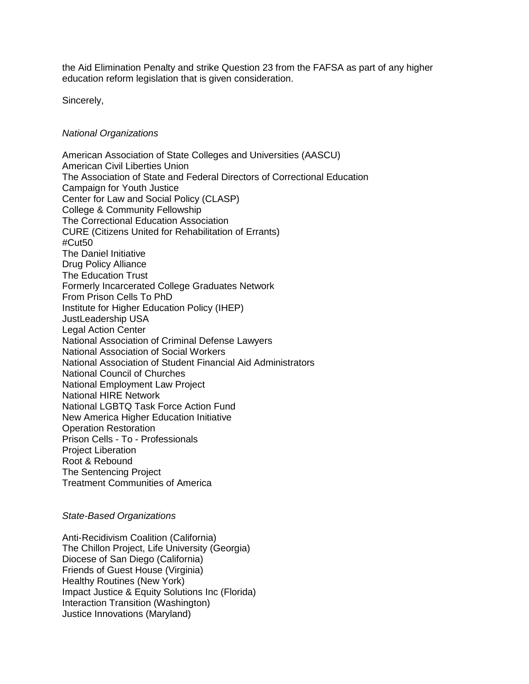the Aid Elimination Penalty and strike Question 23 from the FAFSA as part of any higher education reform legislation that is given consideration.

Sincerely,

## *National Organizations*

American Association of State Colleges and Universities (AASCU) American Civil Liberties Union The Association of State and Federal Directors of Correctional Education Campaign for Youth Justice Center for Law and Social Policy (CLASP) College & Community Fellowship The Correctional Education Association CURE (Citizens United for Rehabilitation of Errants) #Cut50 The Daniel Initiative Drug Policy Alliance The Education Trust Formerly Incarcerated College Graduates Network From Prison Cells To PhD Institute for Higher Education Policy (IHEP) JustLeadership USA Legal Action Center National Association of Criminal Defense Lawyers National Association of Social Workers National Association of Student Financial Aid Administrators National Council of Churches National Employment Law Project National HIRE Network National LGBTQ Task Force Action Fund New America Higher Education Initiative Operation Restoration Prison Cells - To - Professionals Project Liberation Root & Rebound The Sentencing Project Treatment Communities of America

## *State-Based Organizations*

Anti-Recidivism Coalition (California) The Chillon Project, Life University (Georgia) Diocese of San Diego (California) Friends of Guest House (Virginia) Healthy Routines (New York) Impact Justice & Equity Solutions Inc (Florida) Interaction Transition (Washington) Justice Innovations (Maryland)